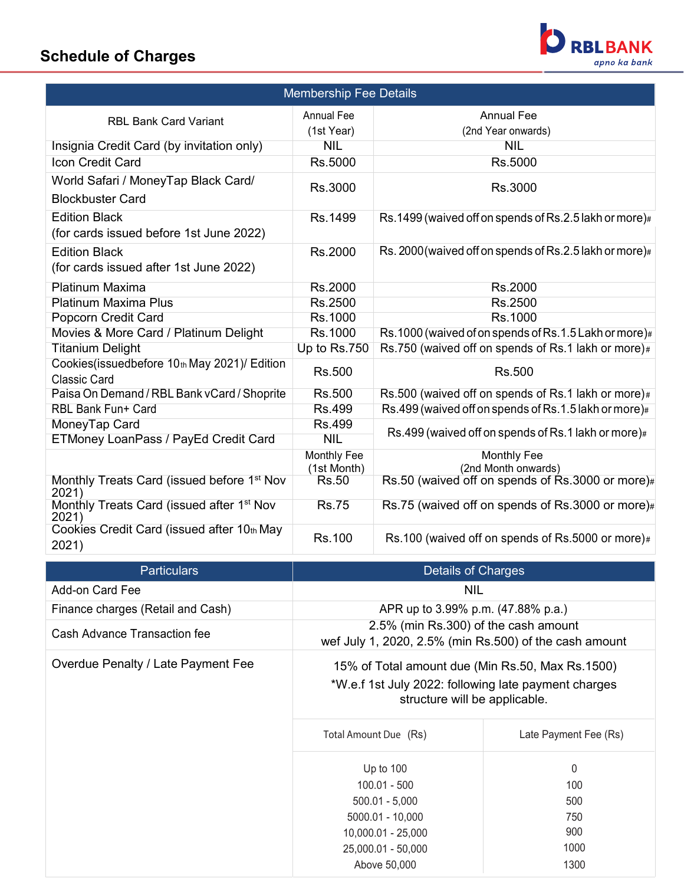## **Schedule of Charges**



| <b>Membership Fee Details</b>                                        |                            |                                                        |  |  |
|----------------------------------------------------------------------|----------------------------|--------------------------------------------------------|--|--|
| <b>RBL Bank Card Variant</b>                                         | Annual Fee<br>(1st Year)   | <b>Annual Fee</b><br>(2nd Year onwards)                |  |  |
| Insignia Credit Card (by invitation only)                            | <b>NIL</b>                 | <b>NIL</b>                                             |  |  |
| <b>Icon Credit Card</b>                                              | Rs.5000                    | Rs.5000                                                |  |  |
| World Safari / MoneyTap Black Card/<br><b>Blockbuster Card</b>       | Rs.3000                    | Rs.3000                                                |  |  |
| <b>Edition Black</b><br>(for cards issued before 1st June 2022)      | Rs.1499                    | Rs.1499 (waived off on spends of Rs.2.5 lakh or more)# |  |  |
| <b>Edition Black</b><br>(for cards issued after 1st June 2022)       | Rs.2000                    | Rs. 2000(waived off on spends of Rs.2.5 lakh or more)# |  |  |
| <b>Platinum Maxima</b>                                               | Rs.2000                    | Rs.2000                                                |  |  |
| <b>Platinum Maxima Plus</b>                                          | Rs.2500                    | Rs.2500                                                |  |  |
| Popcorn Credit Card                                                  | Rs.1000                    | Rs.1000                                                |  |  |
| Movies & More Card / Platinum Delight                                | Rs.1000                    | Rs.1000 (waived of on spends of Rs.1.5 Lakh or more)#  |  |  |
| <b>Titanium Delight</b>                                              | Up to Rs.750               | Rs.750 (waived off on spends of Rs.1 lakh or more)#    |  |  |
| Cookies (issuedbefore 10th May 2021)/ Edition<br><b>Classic Card</b> | Rs.500                     | Rs.500                                                 |  |  |
| Paisa On Demand / RBL Bank vCard / Shoprite                          | <b>Rs.500</b>              | Rs.500 (waived off on spends of Rs.1 lakh or more)#    |  |  |
| <b>RBL Bank Fun+ Card</b>                                            | <b>Rs.499</b>              | Rs.499 (waived off on spends of Rs.1.5 lakh or more)#  |  |  |
| MoneyTap Card                                                        | <b>Rs.499</b>              | Rs.499 (waived off on spends of Rs.1 lakh or more)#    |  |  |
| ETMoney LoanPass / PayEd Credit Card                                 | <b>NIL</b>                 |                                                        |  |  |
|                                                                      | Monthly Fee<br>(1st Month) | Monthly Fee<br>(2nd Month onwards)                     |  |  |
| Monthly Treats Card (issued before 1 <sup>st</sup> Nov<br>2021)      | <b>Rs.50</b>               | Rs.50 (waived off on spends of Rs.3000 or more)#       |  |  |
| Monthly Treats Card (issued after 1 <sup>st</sup> Nov<br>2021)       | <b>Rs.75</b>               | Rs.75 (waived off on spends of Rs.3000 or more)#       |  |  |
| Cookies Credit Card (issued after 10th May<br>2021)                  | Rs.100                     | Rs.100 (waived off on spends of Rs.5000 or more)#      |  |  |

| <b>Particulars</b>                  | Details of Charges                                                                                                                        |                       |  |
|-------------------------------------|-------------------------------------------------------------------------------------------------------------------------------------------|-----------------------|--|
| Add-on Card Fee                     | <b>NIL</b>                                                                                                                                |                       |  |
| Finance charges (Retail and Cash)   | APR up to 3.99% p.m. (47.88% p.a.)                                                                                                        |                       |  |
| <b>Cash Advance Transaction fee</b> | 2.5% (min Rs.300) of the cash amount<br>wef July 1, 2020, 2.5% (min Rs.500) of the cash amount                                            |                       |  |
| Overdue Penalty / Late Payment Fee  | 15% of Total amount due (Min Rs.50, Max Rs.1500)<br>*W.e.f 1st July 2022: following late payment charges<br>structure will be applicable. |                       |  |
|                                     | Total Amount Due (Rs)                                                                                                                     | Late Payment Fee (Rs) |  |
|                                     | Up to $100$                                                                                                                               | 0                     |  |
|                                     | $100.01 - 500$                                                                                                                            | 100                   |  |
|                                     | $500.01 - 5,000$                                                                                                                          | 500                   |  |
|                                     | 5000.01 - 10,000                                                                                                                          | 750                   |  |
|                                     | 10,000.01 - 25,000                                                                                                                        | 900                   |  |
|                                     | 25,000.01 - 50,000                                                                                                                        | 1000                  |  |
|                                     | Above 50,000                                                                                                                              | 1300                  |  |